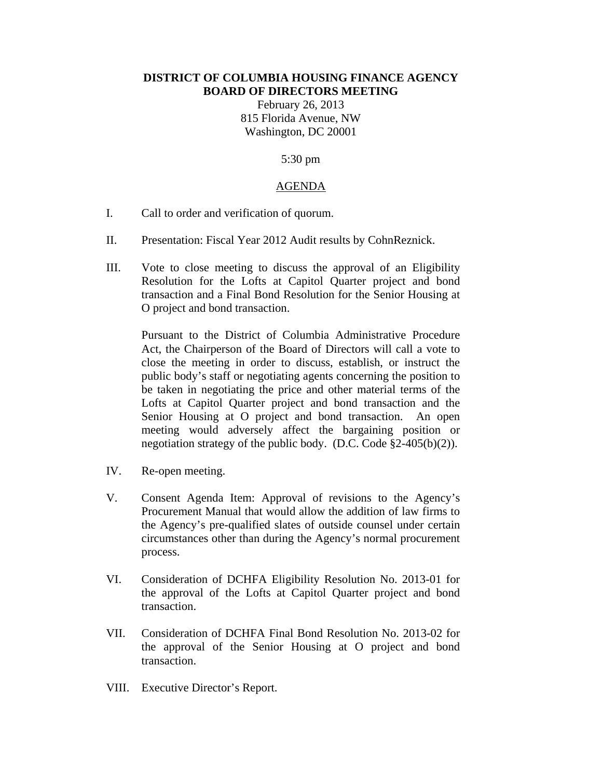## **DISTRICT OF COLUMBIA HOUSING FINANCE AGENCY BOARD OF DIRECTORS MEETING**

February 26, 2013 815 Florida Avenue, NW Washington, DC 20001

5:30 pm

## AGENDA

- I. Call to order and verification of quorum.
- II. Presentation: Fiscal Year 2012 Audit results by CohnReznick.
- III. Vote to close meeting to discuss the approval of an Eligibility Resolution for the Lofts at Capitol Quarter project and bond transaction and a Final Bond Resolution for the Senior Housing at O project and bond transaction.

Pursuant to the District of Columbia Administrative Procedure Act, the Chairperson of the Board of Directors will call a vote to close the meeting in order to discuss, establish, or instruct the public body's staff or negotiating agents concerning the position to be taken in negotiating the price and other material terms of the Lofts at Capitol Quarter project and bond transaction and the Senior Housing at O project and bond transaction. An open meeting would adversely affect the bargaining position or negotiation strategy of the public body. (D.C. Code §2-405(b)(2)).

- IV. Re-open meeting.
- V. Consent Agenda Item: Approval of revisions to the Agency's Procurement Manual that would allow the addition of law firms to the Agency's pre-qualified slates of outside counsel under certain circumstances other than during the Agency's normal procurement process.
- VI. Consideration of DCHFA Eligibility Resolution No. 2013-01 for the approval of the Lofts at Capitol Quarter project and bond transaction.
- VII. Consideration of DCHFA Final Bond Resolution No. 2013-02 for the approval of the Senior Housing at O project and bond transaction.
- VIII. Executive Director's Report.